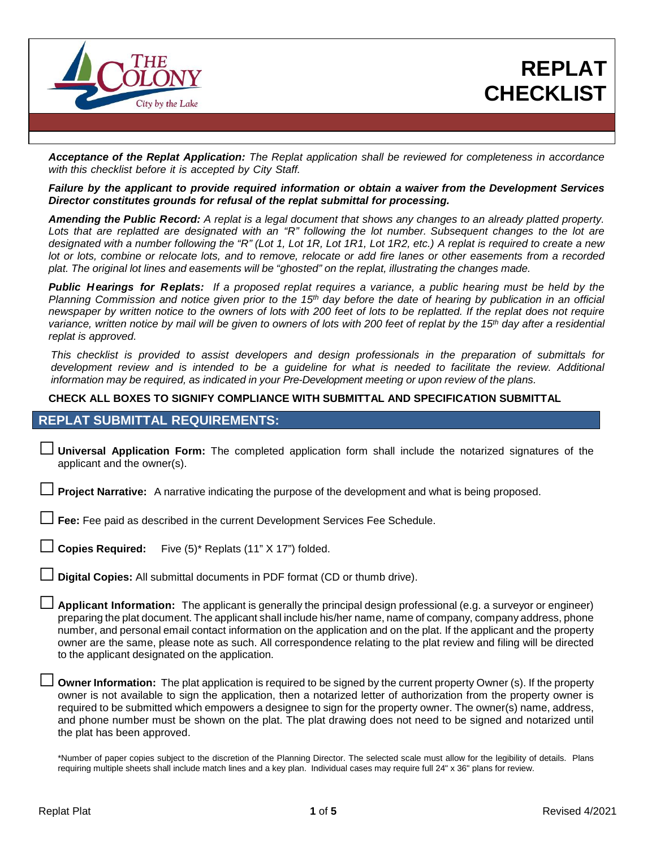

**REPLAT CHECKLIST**

*Acceptance of the Replat Application: The Replat application shall be reviewed for completeness in accordance with this checklist before it is accepted by City Staff.*

*Failure by the applicant to provide required information or obtain a waiver from the Development Services Director constitutes grounds for refusal of the replat submittal for processing.*

Amending the Public Record: A replat is a legal document that shows any changes to an already platted property. Lots that are replatted are designated with an "R" following the lot number. Subsequent changes to the lot are designated with a number following the "R" (Lot 1, Lot 1R, Lot 1R1, Lot 1R2, etc.) A replat is required to create a new lot or lots, combine or relocate lots, and to remove, relocate or add fire lanes or other easements from a recorded plat. The original lot lines and easements will be "ghosted" on the replat, illustrating the changes made.

*Public Hearings for Replats: If a proposed replat requires a variance, a public hearing must be held by the Planning Commission and notice given prior to the 15th day before the date of hearing by publication in an official newspaper by written notice to the owners of lots with 200 feet of lots to be replatted. If the replat does not require variance, written notice by mail will be given to owners of lots with 200 feet of replat by the 15th day after a residential replat is approved.* 

*This checklist is provided to assist developers and design professionals in the preparation of submittals for* development review and is intended to be a quideline for what is needed to facilitate the review. Additional *information may be required, as indicated in your Pre-Development meeting or upon review of the plans.*

#### **CHECK ALL BOXES TO SIGNIFY COMPLIANCE WITH SUBMITTAL AND SPECIFICATION SUBMITTAL**

## **REPLAT SUBMITTAL REQUIREMENTS:**

□ **Universal Application Form:** The completed application form shall include the notarized signatures of the applicant and the owner(s).

**Project Narrative:** A narrative indicating the purpose of the development and what is being proposed.

Fee: Fee paid as described in the current Development Services Fee Schedule.

□ **Copies Required:** Five (5)\* Replats (11" X 17") folded.

**Digital Copies:** All submittal documents in PDF format (CD or thumb drive).

□ **Applicant Information:** The applicant is generally the principal design professional (e.g. <sup>a</sup> surveyor or engineer) preparing the plat document. The applicant shall include his/her name, name of company, company address, phone number, and personal email contact information on the application and on the plat. If the applicant and the property owner are the same, please note as such. All correspondence relating to the plat review and filing will be directed to the applicant designated on the application.

Owner Information: The plat application is required to be signed by the current property Owner (s). If the property owner is not available to sign the application, then a notarized letter of authorization from the property owner is required to be submitted which empowers a designee to sign for the property owner. The owner(s) name, address, and phone number must be shown on the plat. The plat drawing does not need to be signed and notarized until the plat has been approved.

\*Number of paper copies subject to the discretion of the Planning Director. The selected scale must allow for the legibility of details. Plans requiring multiple sheets shall include match lines and a key plan. Individual cases may require full 24" x 36" plans for review.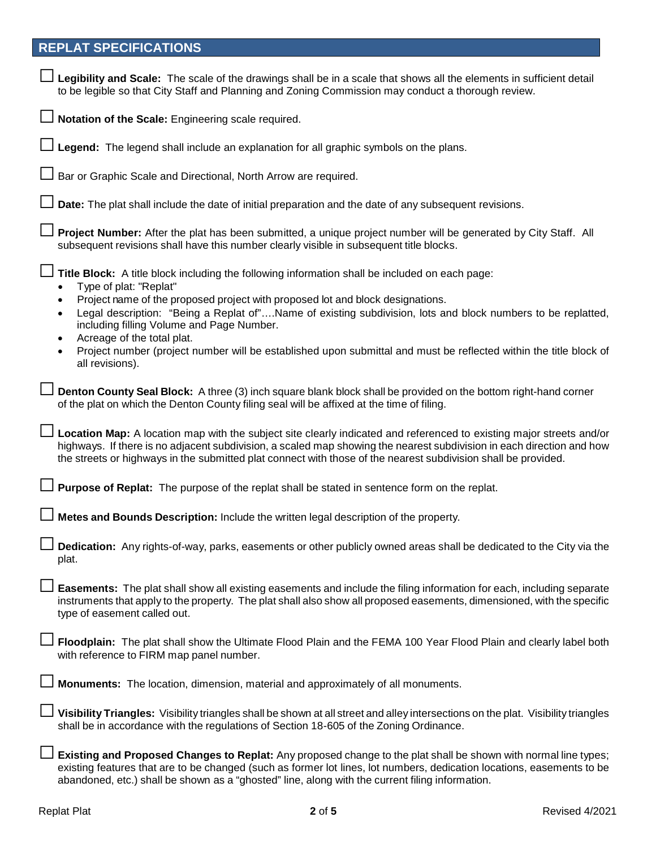# **REPLAT SPECIFICATIONS**

|              | Legibility and Scale: The scale of the drawings shall be in a scale that shows all the elements in sufficient detail<br>to be legible so that City Staff and Planning and Zoning Commission may conduct a thorough review.                                                                                                                                      |
|--------------|-----------------------------------------------------------------------------------------------------------------------------------------------------------------------------------------------------------------------------------------------------------------------------------------------------------------------------------------------------------------|
|              | $\Box$ Notation of the Scale: Engineering scale required.                                                                                                                                                                                                                                                                                                       |
|              | <b>Legend:</b> The legend shall include an explanation for all graphic symbols on the plans.                                                                                                                                                                                                                                                                    |
|              | □ Bar or Graphic Scale and Directional, North Arrow are required.                                                                                                                                                                                                                                                                                               |
|              | $\Box$ Date: The plat shall include the date of initial preparation and the date of any subsequent revisions.                                                                                                                                                                                                                                                   |
|              | Project Number: After the plat has been submitted, a unique project number will be generated by City Staff. All<br>subsequent revisions shall have this number clearly visible in subsequent title blocks.                                                                                                                                                      |
|              | $\Box$ Title Block: A title block including the following information shall be included on each page:<br>Type of plat: "Replat"                                                                                                                                                                                                                                 |
|              | Project name of the proposed project with proposed lot and block designations.<br>Legal description: "Being a Replat of"Name of existing subdivision, lots and block numbers to be replatted,<br>$\bullet$<br>including filling Volume and Page Number.<br>Acreage of the total plat.                                                                           |
|              | Project number (project number will be established upon submittal and must be reflected within the title block of<br>$\bullet$<br>all revisions).                                                                                                                                                                                                               |
|              | Denton County Seal Block: A three (3) inch square blank block shall be provided on the bottom right-hand corner<br>of the plat on which the Denton County filing seal will be affixed at the time of filing.                                                                                                                                                    |
|              | Location Map: A location map with the subject site clearly indicated and referenced to existing major streets and/or<br>highways. If there is no adjacent subdivision, a scaled map showing the nearest subdivision in each direction and how<br>the streets or highways in the submitted plat connect with those of the nearest subdivision shall be provided. |
|              | $\Box$ Purpose of Replat: The purpose of the replat shall be stated in sentence form on the replat.                                                                                                                                                                                                                                                             |
|              | $\Box$ Metes and Bounds Description: Include the written legal description of the property.                                                                                                                                                                                                                                                                     |
| $\mathbf{I}$ | $\perp$ Dedication: Any rights-of-way, parks, easements or other publicly owned areas shall be dedicated to the City via the<br>plat.                                                                                                                                                                                                                           |
|              | Easements: The plat shall show all existing easements and include the filing information for each, including separate<br>instruments that apply to the property. The plat shall also show all proposed easements, dimensioned, with the specific<br>type of easement called out.                                                                                |
|              | Floodplain: The plat shall show the Ultimate Flood Plain and the FEMA 100 Year Flood Plain and clearly label both<br>with reference to FIRM map panel number.                                                                                                                                                                                                   |
|              | $\Box$ Monuments: The location, dimension, material and approximately of all monuments.                                                                                                                                                                                                                                                                         |
|              | Visibility Triangles: Visibility triangles shall be shown at all street and alley intersections on the plat. Visibility triangles<br>shall be in accordance with the regulations of Section 18-605 of the Zoning Ordinance.                                                                                                                                     |
|              | Existing and Proposed Changes to Replat: Any proposed change to the plat shall be shown with normal line types;<br>existing features that are to be changed (such as former lot lines, lot numbers, dedication locations, easements to be<br>abandoned, etc.) shall be shown as a "ghosted" line, along with the current filing information.                    |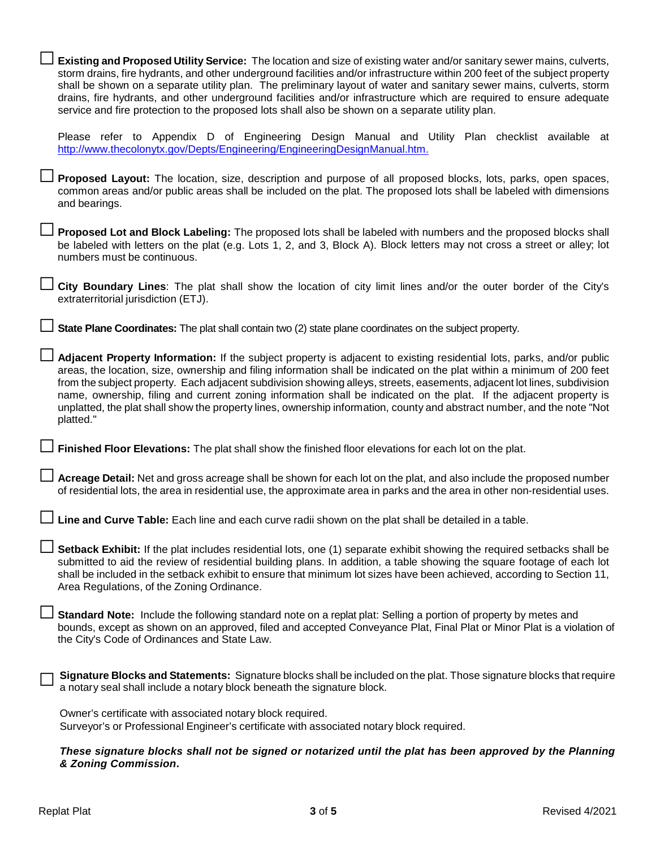| Existing and Proposed Utility Service: The location and size of existing water and/or sanitary sewer mains, culverts,<br>storm drains, fire hydrants, and other underground facilities and/or infrastructure within 200 feet of the subject property<br>shall be shown on a separate utility plan. The preliminary layout of water and sanitary sewer mains, culverts, storm<br>drains, fire hydrants, and other underground facilities and/or infrastructure which are required to ensure adequate<br>service and fire protection to the proposed lots shall also be shown on a separate utility plan.                                    |
|--------------------------------------------------------------------------------------------------------------------------------------------------------------------------------------------------------------------------------------------------------------------------------------------------------------------------------------------------------------------------------------------------------------------------------------------------------------------------------------------------------------------------------------------------------------------------------------------------------------------------------------------|
| Please refer to Appendix D of Engineering Design Manual and Utility Plan checklist available at<br>http://www.thecolonytx.gov/Depts/Engineering/EngineeringDesignManual.htm.                                                                                                                                                                                                                                                                                                                                                                                                                                                               |
| Froposed Layout: The location, size, description and purpose of all proposed blocks, lots, parks, open spaces,<br>common areas and/or public areas shall be included on the plat. The proposed lots shall be labeled with dimensions<br>and bearings.                                                                                                                                                                                                                                                                                                                                                                                      |
| Proposed Lot and Block Labeling: The proposed lots shall be labeled with numbers and the proposed blocks shall<br>be labeled with letters on the plat (e.g. Lots 1, 2, and 3, Block A). Block letters may not cross a street or alley; lot<br>numbers must be continuous.                                                                                                                                                                                                                                                                                                                                                                  |
| City Boundary Lines: The plat shall show the location of city limit lines and/or the outer border of the City's<br>extraterritorial jurisdiction (ETJ).                                                                                                                                                                                                                                                                                                                                                                                                                                                                                    |
| State Plane Coordinates: The plat shall contain two (2) state plane coordinates on the subject property.                                                                                                                                                                                                                                                                                                                                                                                                                                                                                                                                   |
| Adjacent Property Information: If the subject property is adjacent to existing residential lots, parks, and/or public<br>areas, the location, size, ownership and filing information shall be indicated on the plat within a minimum of 200 feet<br>from the subject property. Each adjacent subdivision showing alleys, streets, easements, adjacent lot lines, subdivision<br>name, ownership, filing and current zoning information shall be indicated on the plat. If the adjacent property is<br>unplatted, the plat shall show the property lines, ownership information, county and abstract number, and the note "Not<br>platted." |
| <b>L</b> Finished Floor Elevations: The plat shall show the finished floor elevations for each lot on the plat.                                                                                                                                                                                                                                                                                                                                                                                                                                                                                                                            |
| Acreage Detail: Net and gross acreage shall be shown for each lot on the plat, and also include the proposed number<br>of residential lots, the area in residential use, the approximate area in parks and the area in other non-residential uses.                                                                                                                                                                                                                                                                                                                                                                                         |
| Line and Curve Table: Each line and each curve radii shown on the plat shall be detailed in a table.                                                                                                                                                                                                                                                                                                                                                                                                                                                                                                                                       |
| Setback Exhibit: If the plat includes residential lots, one (1) separate exhibit showing the required setbacks shall be<br>submitted to aid the review of residential building plans. In addition, a table showing the square footage of each lot<br>shall be included in the setback exhibit to ensure that minimum lot sizes have been achieved, according to Section 11,<br>Area Regulations, of the Zoning Ordinance.                                                                                                                                                                                                                  |
| Standard Note: Include the following standard note on a replat plat: Selling a portion of property by metes and<br>bounds, except as shown on an approved, filed and accepted Conveyance Plat, Final Plat or Minor Plat is a violation of<br>the City's Code of Ordinances and State Law.                                                                                                                                                                                                                                                                                                                                                  |
| Signature Blocks and Statements: Signature blocks shall be included on the plat. Those signature blocks that require<br>a notary seal shall include a notary block beneath the signature block.                                                                                                                                                                                                                                                                                                                                                                                                                                            |
| Owner's certificate with associated notary block required.<br>Surveyor's or Professional Engineer's certificate with associated notary block required.                                                                                                                                                                                                                                                                                                                                                                                                                                                                                     |
| These signature blocks shall not be signed or notarized until the plat has been approved by the Planning                                                                                                                                                                                                                                                                                                                                                                                                                                                                                                                                   |

*& Zoning Commission***.**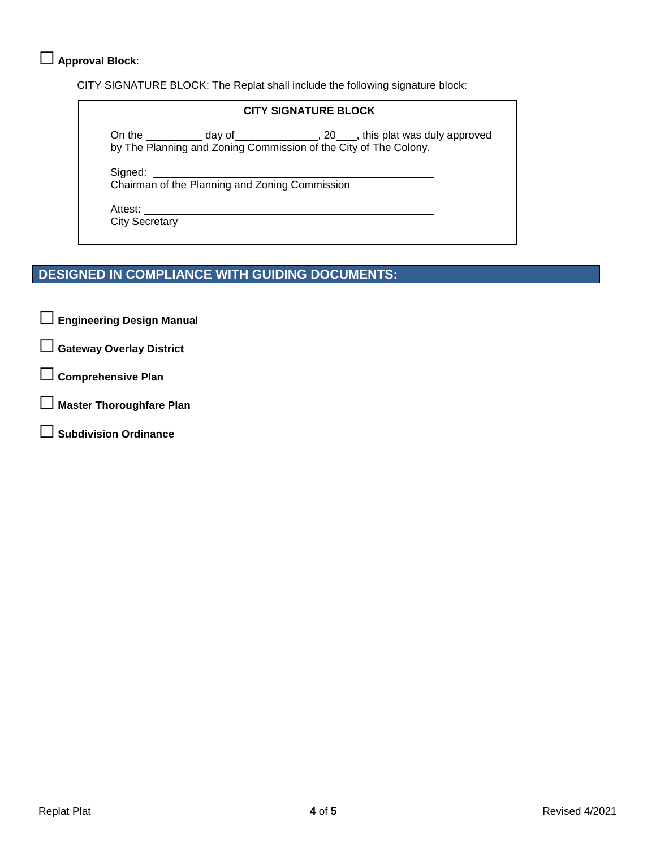# □ **Approval Block**:

CITY SIGNATURE BLOCK: The Replat shall include the following signature block:

#### **CITY SIGNATURE BLOCK**

On the \_\_\_\_\_\_\_\_\_\_ day of \_\_\_\_\_\_\_\_\_\_\_\_\_\_\_, 20\_\_\_\_, this plat was duly approved by The Planning and Zoning Commission of the City of The Colony.

Signed:

Chairman of the Planning and Zoning Commission

Attest:

City Secretary

# **DESIGNED IN COMPLIANCE WITH GUIDING DOCUMENTS:**

□ **Engineering Design Manual**

- □ **Gateway Overlay District**
	- □ **Comprehensive Plan**
- **Master Thoroughfare Plan**
- □ **Subdivision Ordinance**